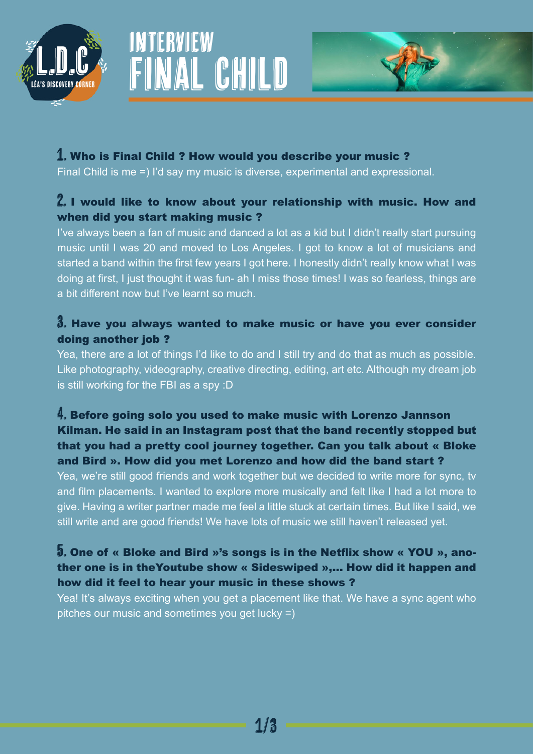





#### 1. Who is Final Child ? How would you describe your music ?

Final Child is me =) I'd say my music is diverse, experimental and expressional.

#### 2. I would like to know about your relationship with music. How and when did you start making music ?

I've always been a fan of music and danced a lot as a kid but I didn't really start pursuing music until l was 20 and moved to Los Angeles. I got to know a lot of musicians and started a band within the first few years I got here. I honestly didn't really know what I was doing at first, I just thought it was fun- ah I miss those times! I was so fearless, things are a bit different now but I've learnt so much.

#### 3. Have you always wanted to make music or have you ever consider doing another job ?

Yea, there are a lot of things I'd like to do and I still try and do that as much as possible. Like photography, videography, creative directing, editing, art etc. Although my dream job is still working for the FBI as a spy :D

## 4. Before going solo you used to make music with Lorenzo Jannson Kilman. He said in an Instagram post that the band recently stopped but that you had a pretty cool journey together. Can you talk about « Bloke and Bird ». How did you met Lorenzo and how did the band start ?

Yea, we're still good friends and work together but we decided to write more for sync, tv and film placements. I wanted to explore more musically and felt like I had a lot more to give. Having a writer partner made me feel a little stuck at certain times. But like I said, we still write and are good friends! We have lots of music we still haven't released yet.

## 5. One of « Bloke and Bird »'s songs is in the Netflix show « YOU », another one is in theYoutube show « Sideswiped »,... How did it happen and how did it feel to hear your music in these shows ?

Yea! It's always exciting when you get a placement like that. We have a sync agent who pitches our music and sometimes you get lucky =)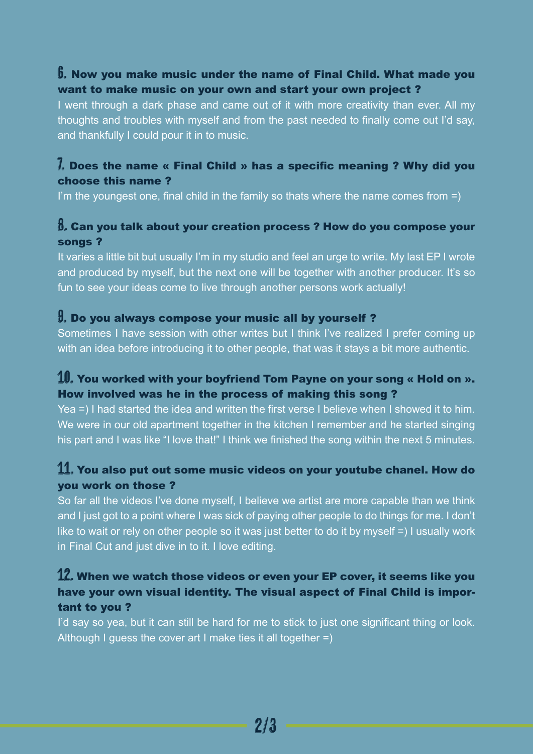## 6. Now you make music under the name of Final Child. What made you want to make music on your own and start your own project ?

I went through a dark phase and came out of it with more creativity than ever. All my thoughts and troubles with myself and from the past needed to finally come out I'd say, and thankfully I could pour it in to music.

## 7. Does the name « Final Child » has a specific meaning ? Why did you choose this name ?

I'm the youngest one, final child in the family so thats where the name comes from  $=$ )

# 8. Can you talk about your creation process ? How do you compose your songs ?

It varies a little bit but usually I'm in my studio and feel an urge to write. My last EP I wrote and produced by myself, but the next one will be together with another producer. It's so fun to see your ideas come to live through another persons work actually!

#### 9. Do you always compose your music all by yourself ?

Sometimes I have session with other writes but I think I've realized I prefer coming up with an idea before introducing it to other people, that was it stays a bit more authentic.

## 10. You worked with your boyfriend Tom Payne on your song « Hold on ». How involved was he in the process of making this song ?

Yea =) I had started the idea and written the first verse I believe when I showed it to him. We were in our old apartment together in the kitchen I remember and he started singing his part and I was like "I love that!" I think we finished the song within the next 5 minutes.

# 11. You also put out some music videos on your youtube chanel. How do you work on those ?

So far all the videos I've done myself, I believe we artist are more capable than we think and I just got to a point where I was sick of paying other people to do things for me. I don't like to wait or rely on other people so it was just better to do it by myself =) I usually work in Final Cut and just dive in to it. I love editing.

# $12$ . When we watch those videos or even your EP cover, it seems like you have your own visual identity. The visual aspect of Final Child is important to you ?

I'd say so yea, but it can still be hard for me to stick to just one significant thing or look. Although I guess the cover art I make ties it all together =)